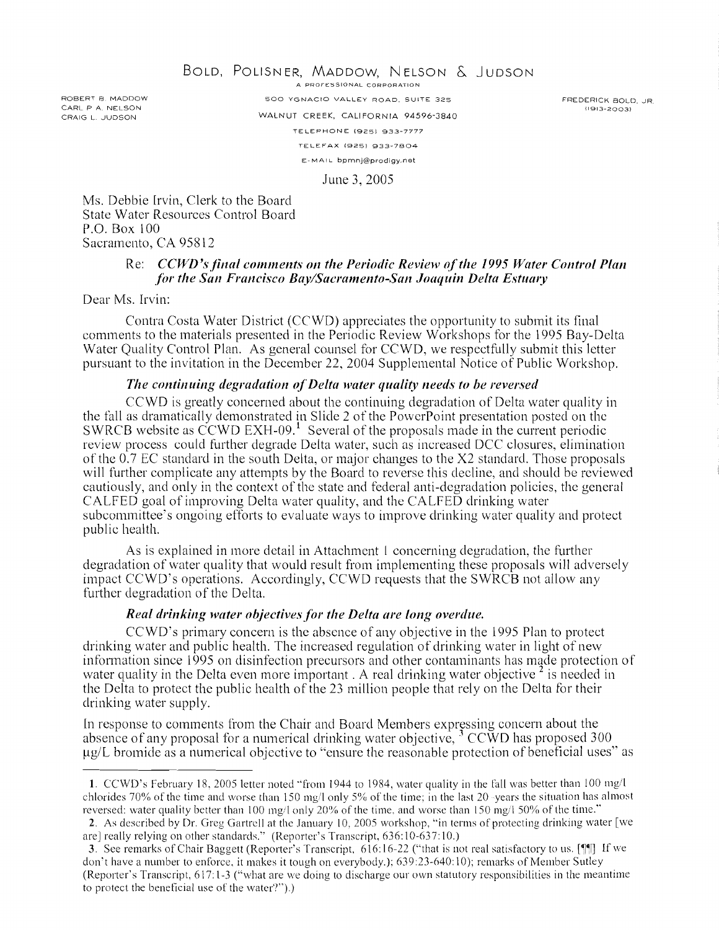ROBERT R MADDOW CARL P A. NELSON CRAIG L. JUDSON

BOLD, POLISNER, MADDOW, NELSON & JUDSON

500 YGNACIO VALLEY ROAD. SUITE 325 WALNUT CREEK, CALIFORNIA 94596-3840 TELEPHONE (925) 933-7777 TELEFAX 19251 933-7804 E-MAIL bprnnj@prodigy.net

FREDERICK BOLD. JR (1913-2003)

June 3,2005

Ms. Debbie Irvin, Clerk to the Board State Water Resources Control Board P.O. Box 100 Sacramento, CA 958 12

### Re: *CCWD's final comments on the Periodic Review of the 1995 Water Control Plan for the San Francisco Bay/Sacramento-San Joaquin Delta Estuary*

Dear Ms. Irvin:

Contra Costa Water District (CCWD) appreciates the opportunity to submit its final comments to the materials presented in the Periodic Review Workshops for the 1995 Bay-Delta Water Quality Control Plan. As general counsel for CCWD, we respectfully submit this letter pursuant to the invitation in the December 22, 2004 Supplemental Notice of Public Workshop.

#### *The continuing degradation of Delta water quality needs to be reversed*

CCWD is greatly concerned about the continuing degradation of Delta water quality in the fall as dramatically demonstrated in Slide 2 of the PowerPoint presentation posted on the SWRCB website as CCWD EXH-09. $^1$  Several of the proposals made in the current periodic review process could further degrade Delta water, such as increased DCC closures, elimination of thc 0.7 EC standard in the south Delta. or major changes to the X2 standard. Thosc proposals will further complicate any attempts by the Board to reverse this decline, and should be reviewed cautiously, and only in the context of the state and federal anti-degradation policies, the general CALFED goal of improving Delta water quality, and the CALFED drinking water subcommittee's ongoing efforts to evaluate ways to improve drinking water quality and protect public health.

As is explained in more detail in Attachment 1 concerning degradation, the further degradation of water quality that would result from implementing these proposals will adversely impact CCWD's operations. Accordingly, CCWD requests that the SWRCB not allow any further degradation of the Delta.

#### *Real drinking water objectives for the Delta are long overdue.*

CCWD's primary concern is the absence of any objective in the 1995 Plan to protect drinking water and public health. The increased regulation of drinking water in light of new information since 1995 on disinfection precursors and other contaminants has made protection of water quality in the Delta even more important. A real drinking water objective  $\frac{2}{3}$  is needed in the Delta to protect the public health of the 23 million people that rely on the Delta for their drinking water supply.

In response to comments from the Chair and Board Members expressing concern about the absence of any proposal for a numerical drinking water objective.  $3 \text{ CCWD}$  has proposed 300 pg/L bromide as a numerical objective to "ensure the reasonable protection of beneficial uses" as

<sup>1.</sup> CCWD's February 18, 2005 letter noted "from 1944 to 1984, water quality in the fall was better than 100 mg/l chlorides 70% of the time and worse than 150 mg/l only 5% of the time: in the last 20 -years the situation has almost reversed: water quality better than 100 mg/l only 20% of the time, and worse than 150 mg/l 50% of the time."

**<sup>2.</sup>** As described by Dr. Greg Gartrell at the January 10, 2005 workshop, "in terms of protecting drinking water [we are] really relying on other standards." (Reporter's Transcript, 636: 10-637: 10.)

**<sup>3.</sup>** See remarks of Chair Baggett (Reporter's Transcript. 616:16-22 ("that is not real satisfactory to us. ["III If we don't have a number to enforce, it makes it tough on everybody.): 639:23-640:10); remarks of Member Sutley (Reporter's Transcript,  $617:1-3$  ("what are we doing to discharge our own statutory responsibilities in the meantime to protect the beneficial use of the water'?").)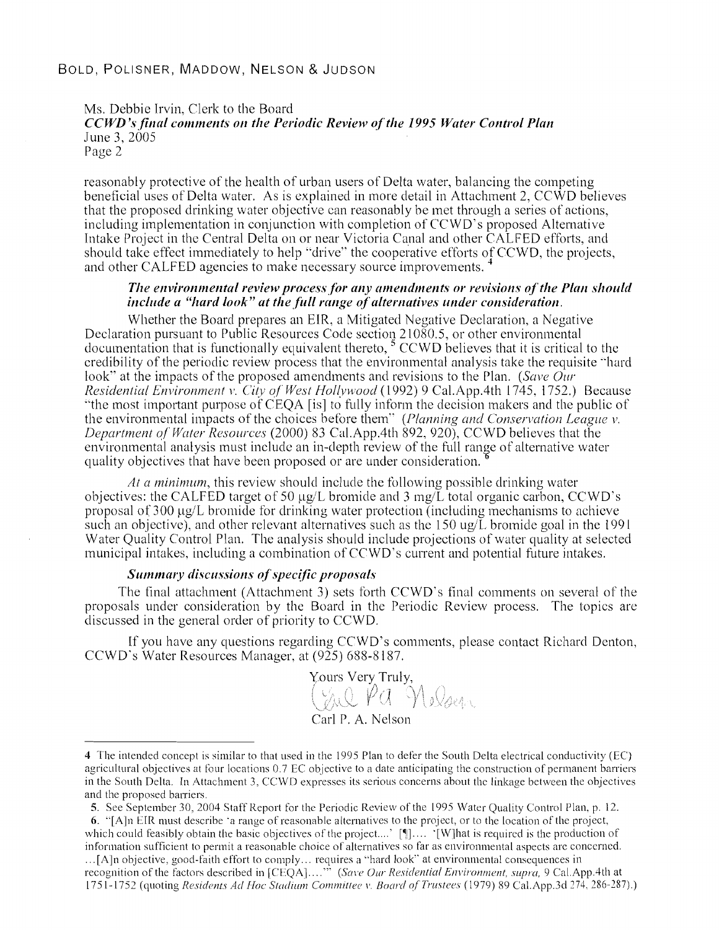### BOLD, POLISNER, MADDOW, NELSON & JUDSON

Ms. Debbie Irvin, Clerk to the Board *CCWD's final comments on the Periodic Review of the 1995 Water Control Plan* June 3, 2005 Page 2

reasonably protective of the health of urban users of Delta water, balancing the competing beneficial uses of Delta water. As is explained in more detail in Attachment 2,  $CC\hat{W}D$  believes that the proposed drinking water objective can reasonably be met through a series of actions, including implementation in conjunction with completion of  $CCWD$ 's proposed Alternative Intake Project in the Central Delta on or near Victoria Canal and other CALFED efforts, and should take effect immediately to help "drive" the cooperative efforts of CCWD, the projects, and other CALFED agencies to make necessary source improvements.

#### *The environmental review process for any amendments or revisions of the Plan should include a "hard look" at the full range of alternatives under consideration.*

Whether the Board prepares an EIR, a Mitigated Negative Declaration, a Negative Declaration pursuant to Public Resources Code section  $210\overline{8}0.5$ , or other environmental documentation that is functionally equivalent thereto,<sup>5</sup> CCWD believes that it is critical to the credibility of the periodic review process that the environmental analysis take the requisite "hard look" at the impacts of the proposed amendments and revisions to the Plan. (Save Our Residential Environment v. City of West Hollywood (1992) 9 Cal.App.4th 1745, 1752.) Because "the most important purpose of CEQA [is] to fully inform the decision makers and the public of the environmental impacts of the choices before them" (Planning and Conservation League v. Department of Water Resources (2000) 83 Cal.App.4th 892, 920), CCWD believes that the environmental analysis must include an in-depth review of the full range of alternative water quality objectives that have bcen proposed or are under consideration.

At a minimum, this review should include the following possible drinking water objectives: the CALFED target of 50  $\mu$ g/L bromide and 3 mg/L total organic carbon, CCWD's proposal of 300  $\mu$ g/L bromide for drinking water protection (including mechanisms to achieve such an objective), and other relevant alternatives such as the  $150 \text{ ug/L}$  bromide goal in the 1991 Water Quality Control Plan. The analysis should include projections of water quality at selected municipal intakes, including a combination of CCWD's current and potential future intakes.

#### Summary discussions of specific proposals

The final attachment (Attachment 3) sets forth  $CCWD$ 's final comments on several of the proposals under consideration by the Board in the Periodic Review process. The topics are discussed in the general order of priority to CCWD.

If you have any questions regarding CCWD's comments, please contact Richard Denton, CCWD's Water Resources Manager. at (925) 685-8 157.

Yours Very Truly,<br>CAU PA Nelsey Carl P. A. Nelson

<sup>4</sup> The intended concept is similar to that used in the 1995 Plan to defer the South Delta electrical conductivity (EC) agricultural objectives at four locations 0.7 EC objective to a date anticipating the construction of permanent barriers in the South Delta. In Attachment 3, CCWD expresses its serious concerns about the linkage between the objectives and the proposed barriers.

**<sup>5.</sup>** See September 30, 2004 Staff Keport for the Periodic Review of the I995 Water Quality Control Plan, p. 12.

<sup>6. &</sup>quot; $[A]$ n EIR must describe 'a range of reasonable alternatives to the project, or to the location of the project, which could feasibly obtain the basic objectives of the project....' [ $\parallel$ ].... '[W]hat is required is the production of information sufficient to permit a reasonable choice of alternatives so far as environmental aspects are concerned.  $\ldots$ [A]n objective, good-faith effort to comply... requires a "hard look" at environmental consequences in recognition of the factors described in [CEQA]....<sup>35</sup> (Save Our Residential Environment, supra, 9 Cal.App.4th at 1751-1752 (quoting *Residents Ad Hoc Stadium Committee v. Board of Trustees* (1979) 89 Cal.App.3d 274, 286-287).)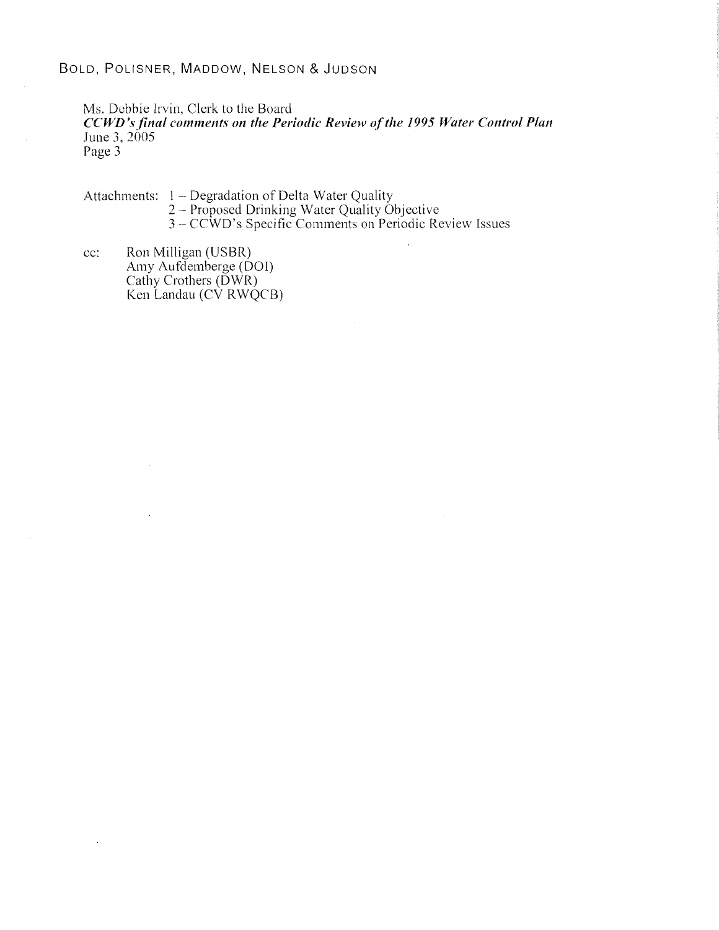# BOLD, POLISNER, MADDOW, NELSON & JUDSON

Ms. Debbie Irvin, Clerk to the Board

*CCWD's final comments on the Periodic Review of the 1995 Water Control Plan* June *3,* 2005

Page 3

Attachments: 1 – Degradation of Delta Water Quality<br>2 – Proposed Drinking Water Quality Objective 2 – Proposed Drinking Water Quality Objective<br>3 – CCWD's Specific Comments on Periodic Review Issues

cc: Ron Milligan (USBR) Amy Aufdemberge (DOI) Cathy Crothers (DWR) Ken Landau (CV RWQCB)

 $\hat{\mathbf{r}}$ 

 $\lambda$ 

 $\sim$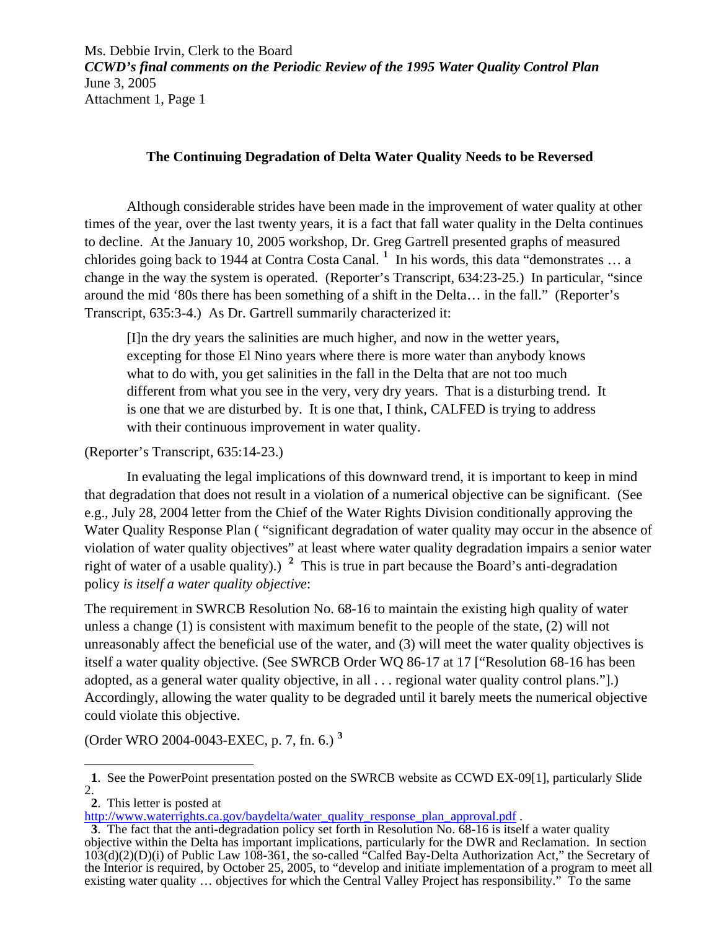# **The Continuing Degradation of Delta Water Quality Needs to be Reversed**

Although considerable strides have been made in the improvement of water quality at other times of the year, over the last twenty years, it is a fact that fall water quality in the Delta continues to decline. At the January 10, 2005 workshop, Dr. Greg Gartrell presented graphs of measured chlorides going back to 1944 at Contra Costa Canal. **[1](#page-3-0)** In his words, this data "demonstrates … a change in the way the system is operated. (Reporter's Transcript, 634:23-25.) In particular, "since around the mid '80s there has been something of a shift in the Delta… in the fall." (Reporter's Transcript, 635:3-4.) As Dr. Gartrell summarily characterized it:

[I]n the dry years the salinities are much higher, and now in the wetter years, excepting for those El Nino years where there is more water than anybody knows what to do with, you get salinities in the fall in the Delta that are not too much different from what you see in the very, very dry years. That is a disturbing trend. It is one that we are disturbed by. It is one that, I think, CALFED is trying to address with their continuous improvement in water quality.

(Reporter's Transcript, 635:14-23.)

 In evaluating the legal implications of this downward trend, it is important to keep in mind that degradation that does not result in a violation of a numerical objective can be significant. (See e.g., July 28, 2004 letter from the Chief of the Water Rights Division conditionally approving the Water Quality Response Plan ( "significant degradation of water quality may occur in the absence of violation of water quality objectives" at least where water quality degradation impairs a senior water right of water of a usable quality).) **[2](#page-3-1)** This is true in part because the Board's anti-degradation policy *is itself a water quality objective*:

The requirement in SWRCB Resolution No. 68-16 to maintain the existing high quality of water unless a change (1) is consistent with maximum benefit to the people of the state, (2) will not unreasonably affect the beneficial use of the water, and (3) will meet the water quality objectives is itself a water quality objective. (See SWRCB Order WQ 86-17 at 17 ["Resolution 68-16 has been adopted, as a general water quality objective, in all . . . regional water quality control plans."].) Accordingly, allowing the water quality to be degraded until it barely meets the numerical objective could violate this objective.

(Order WRO 2004-0043-EXEC, p. 7, fn. 6.) **[3](#page-3-2)**

<span id="page-3-0"></span> $\overline{a}$  **1**. See the PowerPoint presentation posted on the SWRCB website as CCWD EX-09[1], particularly Slide 2.

<span id="page-3-1"></span><sup>2.</sup> This letter is posted at http://www.waterrights.ca.gov/baydelta/water quality response plan approval.pdf.

<span id="page-3-2"></span><sup>3.</sup> The fact that the anti-degradation policy set forth in Resolution No. 68-16 is itself a water quality objective within the Delta has important implications, particularly for the DWR and Reclamation. In section 103(d)(2)(D)(i) of Public Law 108-361, the so-called "Calfed Bay-Delta Authorization Act," the Secretary of the Interior is required, by October 25, 2005, to "develop and initiate implementation of a program to meet all existing water quality … objectives for which the Central Valley Project has responsibility." To the same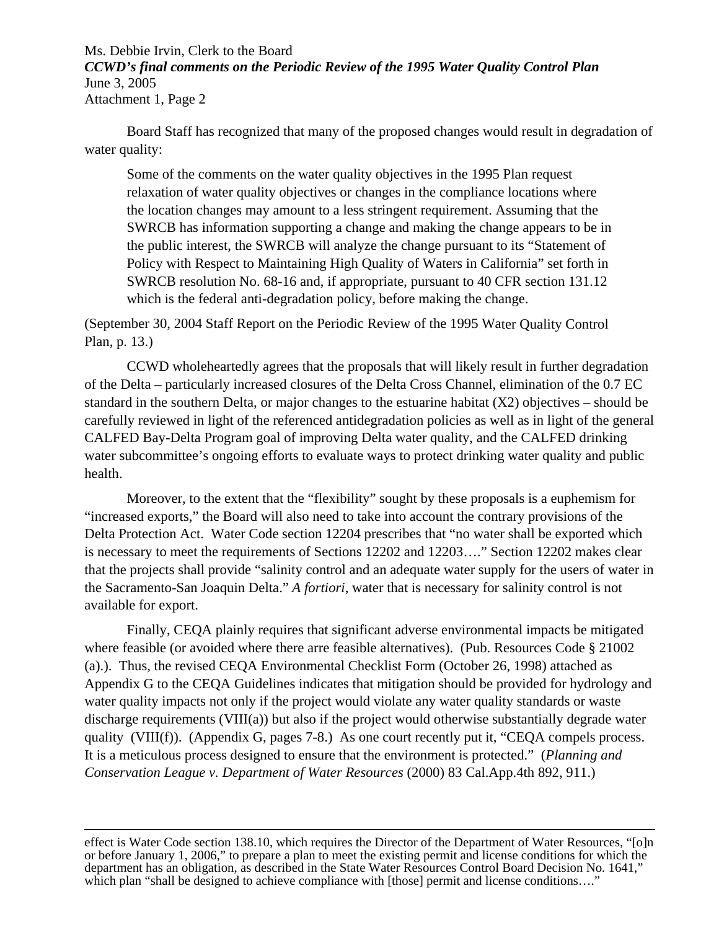Board Staff has recognized that many of the proposed changes would result in degradation of water quality:

Some of the comments on the water quality objectives in the 1995 Plan request relaxation of water quality objectives or changes in the compliance locations where the location changes may amount to a less stringent requirement. Assuming that the SWRCB has information supporting a change and making the change appears to be in the public interest, the SWRCB will analyze the change pursuant to its "Statement of Policy with Respect to Maintaining High Quality of Waters in California" set forth in SWRCB resolution No. 68-16 and, if appropriate, pursuant to 40 CFR section 131.12 which is the federal anti-degradation policy, before making the change.

(September 30, 2004 Staff Report on the Periodic Review of the 1995 Water Quality Control Plan, p. 13.)

 CCWD wholeheartedly agrees that the proposals that will likely result in further degradation of the Delta – particularly increased closures of the Delta Cross Channel, elimination of the 0.7 EC standard in the southern Delta, or major changes to the estuarine habitat  $(X2)$  objectives – should be carefully reviewed in light of the referenced antidegradation policies as well as in light of the general CALFED Bay-Delta Program goal of improving Delta water quality, and the CALFED drinking water subcommittee's ongoing efforts to evaluate ways to protect drinking water quality and public health.

 Moreover, to the extent that the "flexibility" sought by these proposals is a euphemism for "increased exports," the Board will also need to take into account the contrary provisions of the Delta Protection Act. Water Code section 12204 prescribes that "no water shall be exported which is necessary to meet the requirements of Sections 12202 and 12203…." Section 12202 makes clear that the projects shall provide "salinity control and an adequate water supply for the users of water in the Sacramento-San Joaquin Delta." *A fortiori*, water that is necessary for salinity control is not available for export.

 Finally, CEQA plainly requires that significant adverse environmental impacts be mitigated where feasible (or avoided where there arre feasible alternatives). (Pub. Resources Code § 21002 (a).). Thus, the revised CEQA Environmental Checklist Form (October 26, 1998) attached as Appendix G to the CEQA Guidelines indicates that mitigation should be provided for hydrology and water quality impacts not only if the project would violate any water quality standards or waste discharge requirements (VIII(a)) but also if the project would otherwise substantially degrade water quality (VIII(f)). (Appendix G, pages 7-8.) As one court recently put it, "CEQA compels process. It is a meticulous process designed to ensure that the environment is protected." (*Planning and Conservation League v. Department of Water Resources* (2000) 83 Cal.App.4th 892, 911.)

 $\overline{a}$ effect is Water Code section 138.10, which requires the Director of the Department of Water Resources, "[o]n or before January 1, 2006," to prepare a plan to meet the existing permit and license conditions for which the department has an obligation, as described in the State Water Resources Control Board Decision No. 1641," which plan "shall be designed to achieve compliance with [those] permit and license conditions...."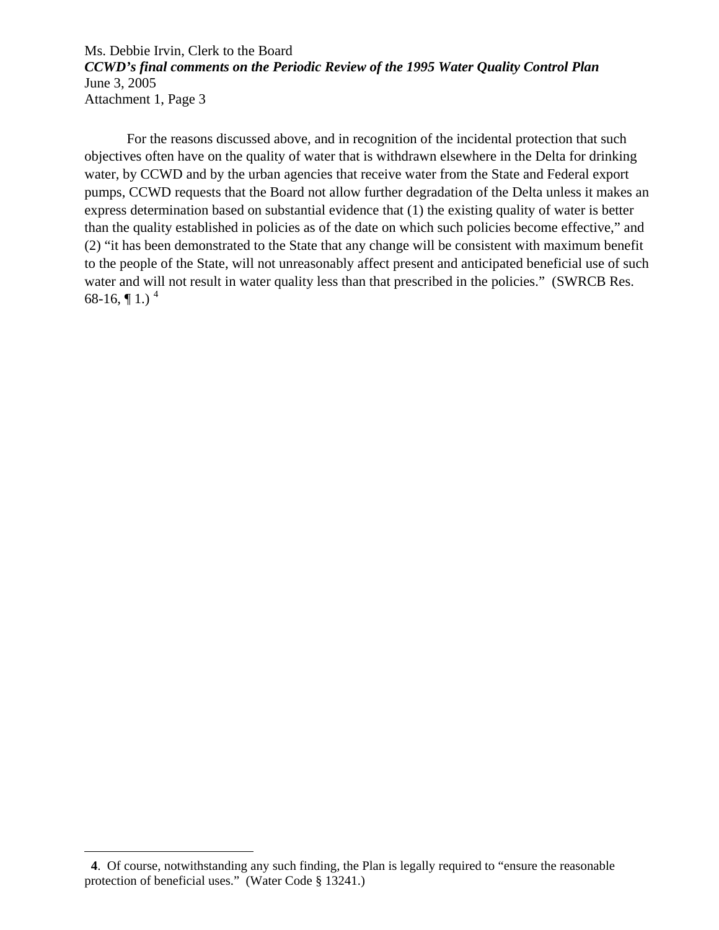For the reasons discussed above, and in recognition of the incidental protection that such objectives often have on the quality of water that is withdrawn elsewhere in the Delta for drinking water, by CCWD and by the urban agencies that receive water from the State and Federal export pumps, CCWD requests that the Board not allow further degradation of the Delta unless it makes an express determination based on substantial evidence that (1) the existing quality of water is better than the quality established in policies as of the date on which such policies become effective," and (2) "it has been demonstrated to the State that any change will be consistent with maximum benefit to the people of the State, will not unreasonably affect present and anticipated beneficial use of such water and will not result in water quality less than that prescribed in the policies." (SWRCB Res. 68-16,  $\P$ 1.)<sup>[4](#page-5-0)</sup>

 $\overline{a}$ 

<span id="page-5-0"></span>**4**. Of course, notwithstanding any such finding, the Plan is legally required to "ensure the reasonable protection of beneficial uses." (Water Code § 13241.)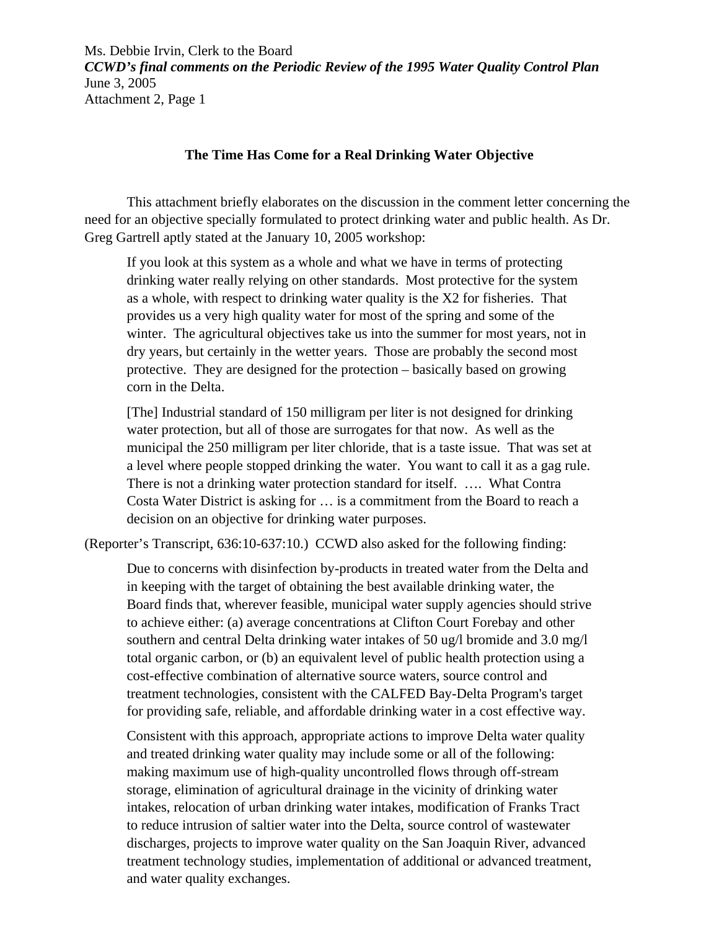#### **The Time Has Come for a Real Drinking Water Objective**

This attachment briefly elaborates on the discussion in the comment letter concerning the need for an objective specially formulated to protect drinking water and public health. As Dr. Greg Gartrell aptly stated at the January 10, 2005 workshop:

If you look at this system as a whole and what we have in terms of protecting drinking water really relying on other standards. Most protective for the system as a whole, with respect to drinking water quality is the X2 for fisheries. That provides us a very high quality water for most of the spring and some of the winter. The agricultural objectives take us into the summer for most years, not in dry years, but certainly in the wetter years. Those are probably the second most protective. They are designed for the protection – basically based on growing corn in the Delta.

[The] Industrial standard of 150 milligram per liter is not designed for drinking water protection, but all of those are surrogates for that now. As well as the municipal the 250 milligram per liter chloride, that is a taste issue. That was set at a level where people stopped drinking the water. You want to call it as a gag rule. There is not a drinking water protection standard for itself. …. What Contra Costa Water District is asking for … is a commitment from the Board to reach a decision on an objective for drinking water purposes.

(Reporter's Transcript, 636:10-637:10.) CCWD also asked for the following finding:

Due to concerns with disinfection by-products in treated water from the Delta and in keeping with the target of obtaining the best available drinking water, the Board finds that, wherever feasible, municipal water supply agencies should strive to achieve either: (a) average concentrations at Clifton Court Forebay and other southern and central Delta drinking water intakes of 50 ug/l bromide and 3.0 mg/l total organic carbon, or (b) an equivalent level of public health protection using a cost-effective combination of alternative source waters, source control and treatment technologies, consistent with the CALFED Bay-Delta Program's target for providing safe, reliable, and affordable drinking water in a cost effective way.

Consistent with this approach, appropriate actions to improve Delta water quality and treated drinking water quality may include some or all of the following: making maximum use of high-quality uncontrolled flows through off-stream storage, elimination of agricultural drainage in the vicinity of drinking water intakes, relocation of urban drinking water intakes, modification of Franks Tract to reduce intrusion of saltier water into the Delta, source control of wastewater discharges, projects to improve water quality on the San Joaquin River, advanced treatment technology studies, implementation of additional or advanced treatment, and water quality exchanges.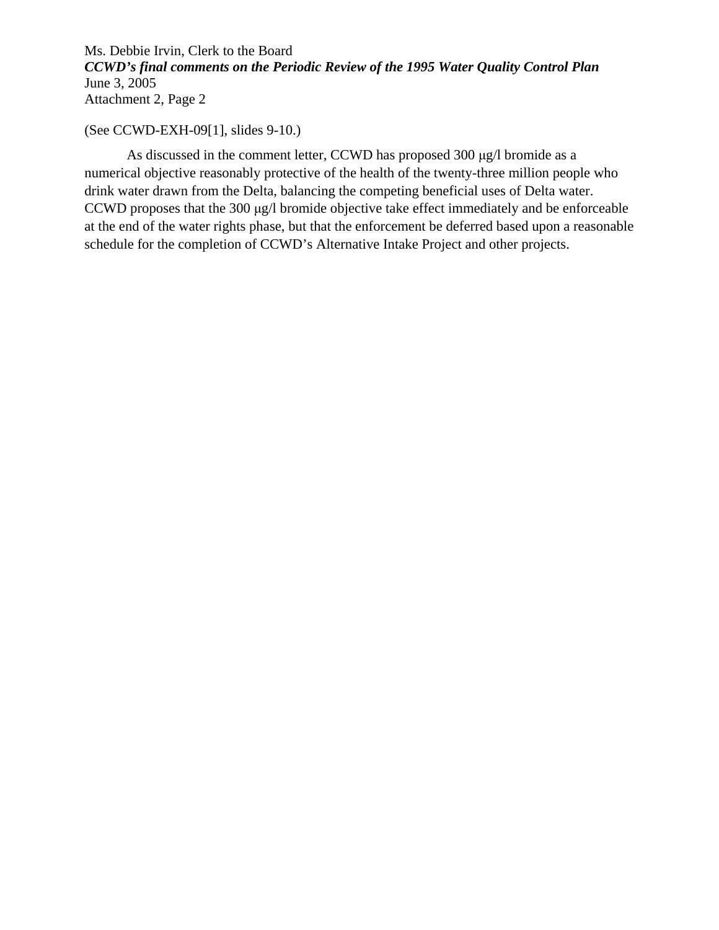### (See CCWD-EXH-09[1], slides 9-10.)

 As discussed in the comment letter, CCWD has proposed 300 μg/l bromide as a numerical objective reasonably protective of the health of the twenty-three million people who drink water drawn from the Delta, balancing the competing beneficial uses of Delta water. CCWD proposes that the 300 μg/l bromide objective take effect immediately and be enforceable at the end of the water rights phase, but that the enforcement be deferred based upon a reasonable schedule for the completion of CCWD's Alternative Intake Project and other projects.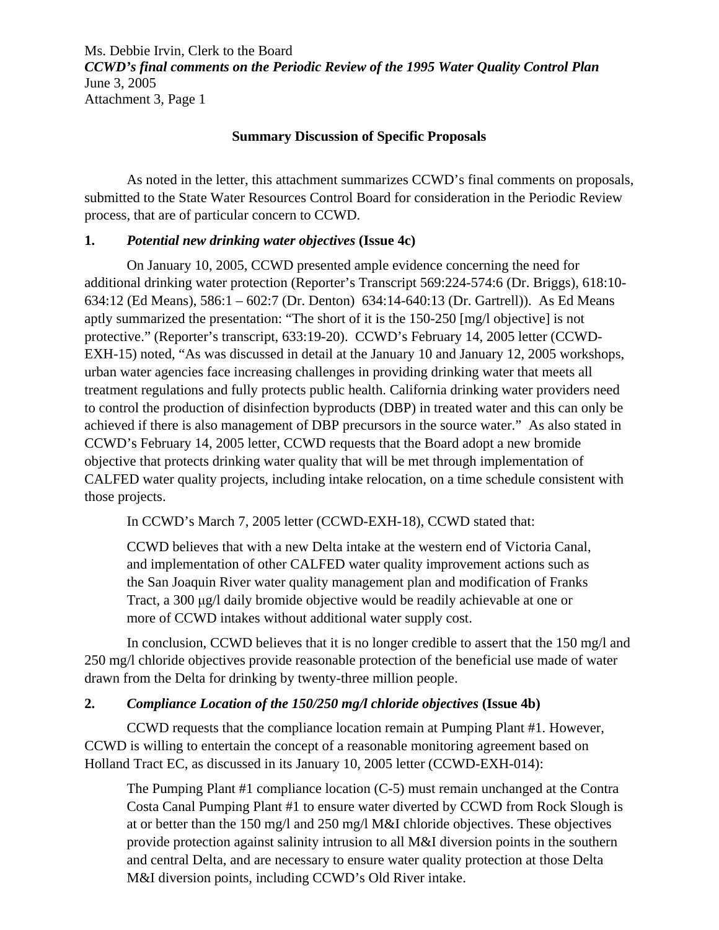### **Summary Discussion of Specific Proposals**

As noted in the letter, this attachment summarizes CCWD's final comments on proposals, submitted to the State Water Resources Control Board for consideration in the Periodic Review process, that are of particular concern to CCWD.

# **1.** *Potential new drinking water objectives* **(Issue 4c)**

On January 10, 2005, CCWD presented ample evidence concerning the need for additional drinking water protection (Reporter's Transcript 569:224-574:6 (Dr. Briggs), 618:10- 634:12 (Ed Means), 586:1 – 602:7 (Dr. Denton) 634:14-640:13 (Dr. Gartrell)). As Ed Means aptly summarized the presentation: "The short of it is the 150-250 [mg/l objective] is not protective." (Reporter's transcript, 633:19-20). CCWD's February 14, 2005 letter (CCWD-EXH-15) noted, "As was discussed in detail at the January 10 and January 12, 2005 workshops, urban water agencies face increasing challenges in providing drinking water that meets all treatment regulations and fully protects public health. California drinking water providers need to control the production of disinfection byproducts (DBP) in treated water and this can only be achieved if there is also management of DBP precursors in the source water." As also stated in CCWD's February 14, 2005 letter, CCWD requests that the Board adopt a new bromide objective that protects drinking water quality that will be met through implementation of CALFED water quality projects, including intake relocation, on a time schedule consistent with those projects.

In CCWD's March 7, 2005 letter (CCWD-EXH-18), CCWD stated that:

CCWD believes that with a new Delta intake at the western end of Victoria Canal, and implementation of other CALFED water quality improvement actions such as the San Joaquin River water quality management plan and modification of Franks Tract, a 300 μg/l daily bromide objective would be readily achievable at one or more of CCWD intakes without additional water supply cost.

 In conclusion, CCWD believes that it is no longer credible to assert that the 150 mg/l and 250 mg/l chloride objectives provide reasonable protection of the beneficial use made of water drawn from the Delta for drinking by twenty-three million people.

# **2.** *Compliance Location of the 150/250 mg/l chloride objectives* **(Issue 4b)**

 CCWD requests that the compliance location remain at Pumping Plant #1. However, CCWD is willing to entertain the concept of a reasonable monitoring agreement based on Holland Tract EC, as discussed in its January 10, 2005 letter (CCWD-EXH-014):

The Pumping Plant #1 compliance location (C-5) must remain unchanged at the Contra Costa Canal Pumping Plant #1 to ensure water diverted by CCWD from Rock Slough is at or better than the 150 mg/l and 250 mg/l M&I chloride objectives. These objectives provide protection against salinity intrusion to all M&I diversion points in the southern and central Delta, and are necessary to ensure water quality protection at those Delta M&I diversion points, including CCWD's Old River intake.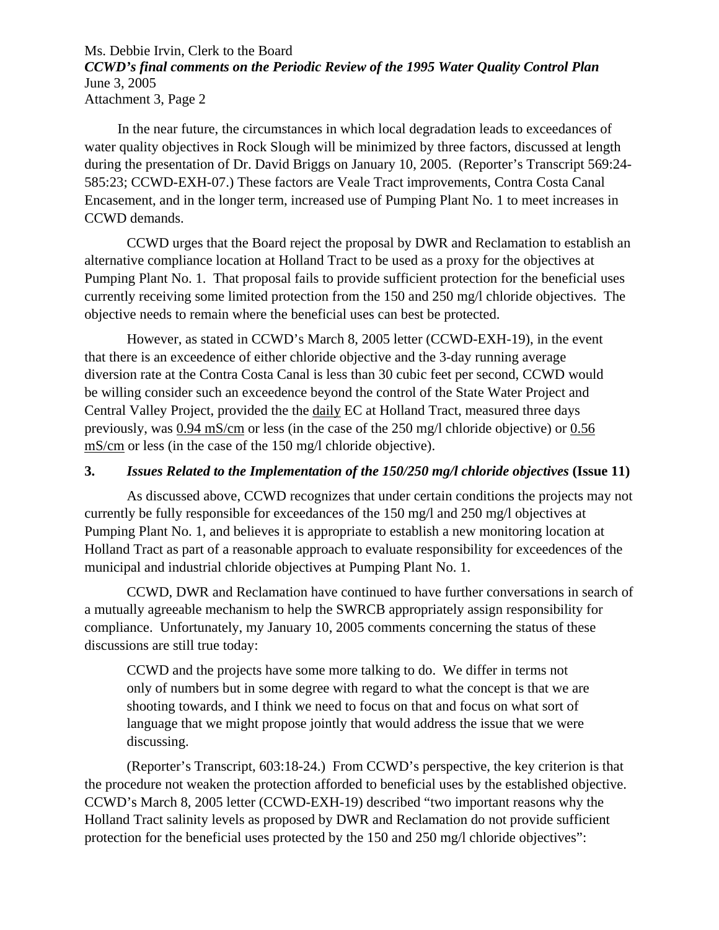In the near future, the circumstances in which local degradation leads to exceedances of water quality objectives in Rock Slough will be minimized by three factors, discussed at length during the presentation of Dr. David Briggs on January 10, 2005. (Reporter's Transcript 569:24- 585:23; CCWD-EXH-07.) These factors are Veale Tract improvements, Contra Costa Canal Encasement, and in the longer term, increased use of Pumping Plant No. 1 to meet increases in CCWD demands.

 CCWD urges that the Board reject the proposal by DWR and Reclamation to establish an alternative compliance location at Holland Tract to be used as a proxy for the objectives at Pumping Plant No. 1. That proposal fails to provide sufficient protection for the beneficial uses currently receiving some limited protection from the 150 and 250 mg/l chloride objectives. The objective needs to remain where the beneficial uses can best be protected.

However, as stated in CCWD's March 8, 2005 letter (CCWD-EXH-19), in the event that there is an exceedence of either chloride objective and the 3-day running average diversion rate at the Contra Costa Canal is less than 30 cubic feet per second, CCWD would be willing consider such an exceedence beyond the control of the State Water Project and Central Valley Project, provided the the daily EC at Holland Tract, measured three days previously, was 0.94 mS/cm or less (in the case of the 250 mg/l chloride objective) or 0.56 mS/cm or less (in the case of the 150 mg/l chloride objective).

### **3.** *Issues Related to the Implementation of the 150/250 mg/l chloride objectives* **(Issue 11)**

 As discussed above, CCWD recognizes that under certain conditions the projects may not currently be fully responsible for exceedances of the 150 mg/l and 250 mg/l objectives at Pumping Plant No. 1, and believes it is appropriate to establish a new monitoring location at Holland Tract as part of a reasonable approach to evaluate responsibility for exceedences of the municipal and industrial chloride objectives at Pumping Plant No. 1.

 CCWD, DWR and Reclamation have continued to have further conversations in search of a mutually agreeable mechanism to help the SWRCB appropriately assign responsibility for compliance. Unfortunately, my January 10, 2005 comments concerning the status of these discussions are still true today:

CCWD and the projects have some more talking to do. We differ in terms not only of numbers but in some degree with regard to what the concept is that we are shooting towards, and I think we need to focus on that and focus on what sort of language that we might propose jointly that would address the issue that we were discussing.

(Reporter's Transcript, 603:18-24.) From CCWD's perspective, the key criterion is that the procedure not weaken the protection afforded to beneficial uses by the established objective. CCWD's March 8, 2005 letter (CCWD-EXH-19) described "two important reasons why the Holland Tract salinity levels as proposed by DWR and Reclamation do not provide sufficient protection for the beneficial uses protected by the 150 and 250 mg/l chloride objectives":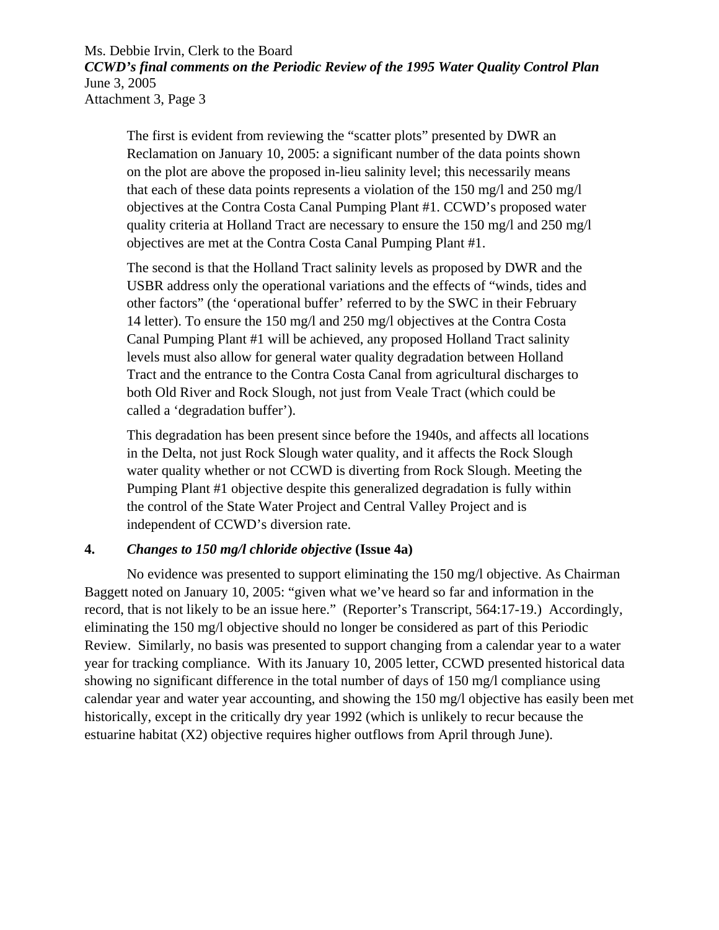The first is evident from reviewing the "scatter plots" presented by DWR an Reclamation on January 10, 2005: a significant number of the data points shown on the plot are above the proposed in-lieu salinity level; this necessarily means that each of these data points represents a violation of the 150 mg/l and 250 mg/l objectives at the Contra Costa Canal Pumping Plant #1. CCWD's proposed water quality criteria at Holland Tract are necessary to ensure the  $150 \text{ mg/l}$  and  $250 \text{ mg/l}$ objectives are met at the Contra Costa Canal Pumping Plant #1.

The second is that the Holland Tract salinity levels as proposed by DWR and the USBR address only the operational variations and the effects of "winds, tides and other factors" (the 'operational buffer' referred to by the SWC in their February 14 letter). To ensure the 150 mg/l and 250 mg/l objectives at the Contra Costa Canal Pumping Plant #1 will be achieved, any proposed Holland Tract salinity levels must also allow for general water quality degradation between Holland Tract and the entrance to the Contra Costa Canal from agricultural discharges to both Old River and Rock Slough, not just from Veale Tract (which could be called a 'degradation buffer').

This degradation has been present since before the 1940s, and affects all locations in the Delta, not just Rock Slough water quality, and it affects the Rock Slough water quality whether or not CCWD is diverting from Rock Slough. Meeting the Pumping Plant #1 objective despite this generalized degradation is fully within the control of the State Water Project and Central Valley Project and is independent of CCWD's diversion rate.

### **4.** *Changes to 150 mg/l chloride objective* **(Issue 4a)**

 No evidence was presented to support eliminating the 150 mg/l objective. As Chairman Baggett noted on January 10, 2005: "given what we've heard so far and information in the record, that is not likely to be an issue here." (Reporter's Transcript, 564:17-19.) Accordingly, eliminating the 150 mg/l objective should no longer be considered as part of this Periodic Review. Similarly, no basis was presented to support changing from a calendar year to a water year for tracking compliance. With its January 10, 2005 letter, CCWD presented historical data showing no significant difference in the total number of days of 150 mg/l compliance using calendar year and water year accounting, and showing the 150 mg/l objective has easily been met historically, except in the critically dry year 1992 (which is unlikely to recur because the estuarine habitat (X2) objective requires higher outflows from April through June).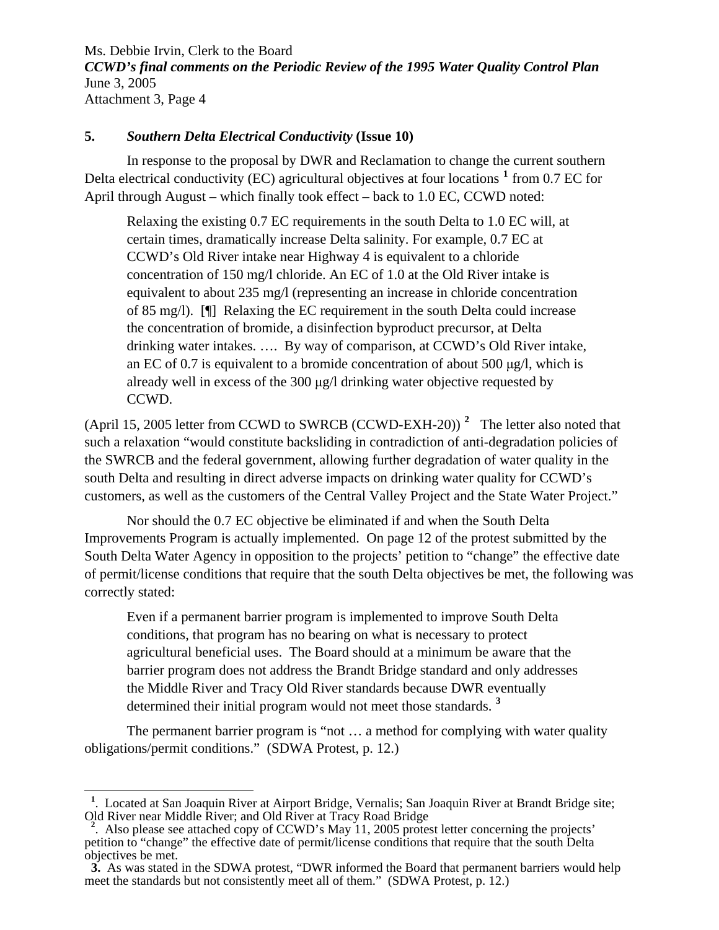# **5.** *Southern Delta Electrical Conductivity* **(Issue 10)**

 In response to the proposal by DWR and Reclamation to change the current southern Delta electrical conductivity (EC) agricultural objectives at four locations **[1](#page-11-0)** from 0.7 EC for April through August – which finally took effect – back to 1.0 EC, CCWD noted:

Relaxing the existing 0.7 EC requirements in the south Delta to 1.0 EC will, at certain times, dramatically increase Delta salinity. For example, 0.7 EC at CCWD's Old River intake near Highway 4 is equivalent to a chloride concentration of 150 mg/l chloride. An EC of 1.0 at the Old River intake is equivalent to about 235 mg/l (representing an increase in chloride concentration of 85 mg/l). [¶] Relaxing the EC requirement in the south Delta could increase the concentration of bromide, a disinfection byproduct precursor, at Delta drinking water intakes. …. By way of comparison, at CCWD's Old River intake, an EC of 0.7 is equivalent to a bromide concentration of about 500 μg/l, which is already well in excess of the 300 μg/l drinking water objective requested by CCWD.

(April 15, 2005 letter from CCWD to SWRCB (CCWD-EXH-20)) **[2](#page-11-1)** The letter also noted that such a relaxation "would constitute backsliding in contradiction of anti-degradation policies of the SWRCB and the federal government, allowing further degradation of water quality in the south Delta and resulting in direct adverse impacts on drinking water quality for CCWD's customers, as well as the customers of the Central Valley Project and the State Water Project."

 Nor should the 0.7 EC objective be eliminated if and when the South Delta Improvements Program is actually implemented. On page 12 of the protest submitted by the South Delta Water Agency in opposition to the projects' petition to "change" the effective date of permit/license conditions that require that the south Delta objectives be met, the following was correctly stated:

Even if a permanent barrier program is implemented to improve South Delta conditions, that program has no bearing on what is necessary to protect agricultural beneficial uses. The Board should at a minimum be aware that the barrier program does not address the Brandt Bridge standard and only addresses the Middle River and Tracy Old River standards because DWR eventually determined their initial program would not meet those standards. **[3](#page-11-2)**

The permanent barrier program is "not ... a method for complying with water quality obligations/permit conditions." (SDWA Protest, p. 12.)

 $\overline{a}$ 

<span id="page-11-0"></span><sup>&</sup>lt;sup>1</sup>. Located at San Joaquin River at Airport Bridge, Vernalis; San Joaquin River at Brandt Bridge site; Old River near Middle River; and Old River at Tracy Road Bridge

<span id="page-11-1"></span>**2** . Also please see attached copy of CCWD's May 11, 2005 protest letter concerning the projects' petition to "change" the effective date of permit/license conditions that require that the south Delta objectives be met.

<span id="page-11-2"></span>**3.** As was stated in the SDWA protest, "DWR informed the Board that permanent barriers would help meet the standards but not consistently meet all of them." (SDWA Protest, p. 12.)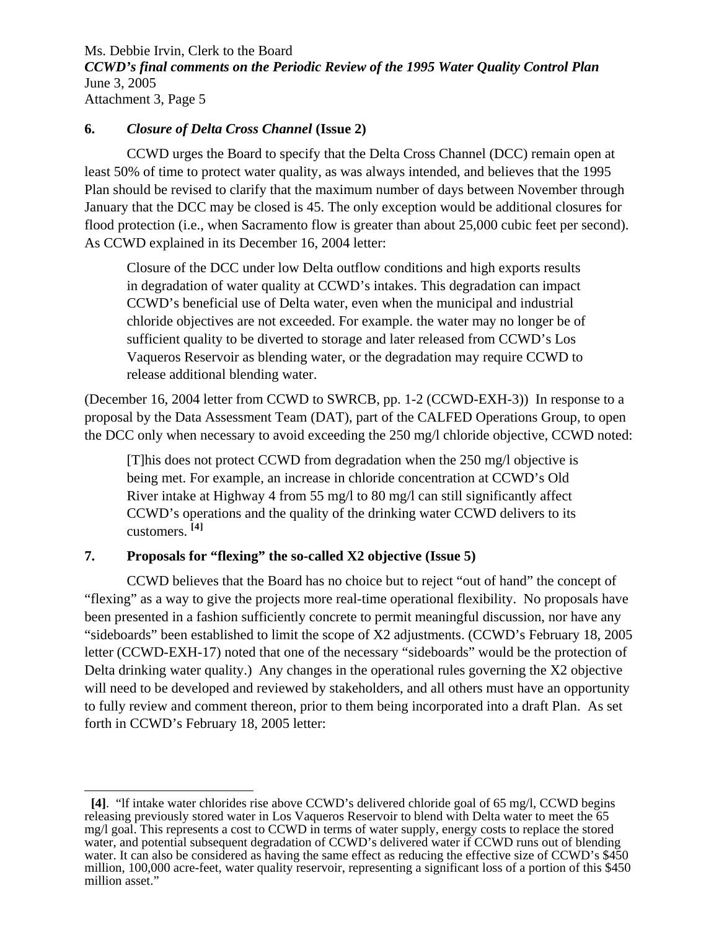# **6.** *Closure of Delta Cross Channel* **(Issue 2)**

 CCWD urges the Board to specify that the Delta Cross Channel (DCC) remain open at least 50% of time to protect water quality, as was always intended, and believes that the 1995 Plan should be revised to clarify that the maximum number of days between November through January that the DCC may be closed is 45. The only exception would be additional closures for flood protection (i.e., when Sacramento flow is greater than about 25,000 cubic feet per second). As CCWD explained in its December 16, 2004 letter:

Closure of the DCC under low Delta outflow conditions and high exports results in degradation of water quality at CCWD's intakes. This degradation can impact CCWD's beneficial use of Delta water, even when the municipal and industrial chloride objectives are not exceeded. For example. the water may no longer be of sufficient quality to be diverted to storage and later released from CCWD's Los Vaqueros Reservoir as blending water, or the degradation may require CCWD to release additional blending water.

(December 16, 2004 letter from CCWD to SWRCB, pp. 1-2 (CCWD-EXH-3)) In response to a proposal by the Data Assessment Team (DAT), part of the CALFED Operations Group, to open the DCC only when necessary to avoid exceeding the 250 mg/l chloride objective, CCWD noted:

[T]his does not protect CCWD from degradation when the 250 mg/l objective is being met. For example, an increase in chloride concentration at CCWD's Old River intake at Highway 4 from 55 mg/l to 80 mg/l can still significantly affect CCWD's operations and the quality of the drinking water CCWD delivers to its customers. **[[4](#page-12-0)]** 

# **7. Proposals for "flexing" the so-called X2 objective (Issue 5)**

 CCWD believes that the Board has no choice but to reject "out of hand" the concept of "flexing" as a way to give the projects more real-time operational flexibility. No proposals have been presented in a fashion sufficiently concrete to permit meaningful discussion, nor have any "sideboards" been established to limit the scope of X2 adjustments. (CCWD's February 18, 2005 letter (CCWD-EXH-17) noted that one of the necessary "sideboards" would be the protection of Delta drinking water quality.) Any changes in the operational rules governing the X2 objective will need to be developed and reviewed by stakeholders, and all others must have an opportunity to fully review and comment thereon, prior to them being incorporated into a draft Plan. As set forth in CCWD's February 18, 2005 letter:

<span id="page-12-0"></span> $\overline{a}$  **[4]**. "lf intake water chlorides rise above CCWD's delivered chloride goal of 65 mg/l, CCWD begins releasing previously stored water in Los Vaqueros Reservoir to blend with Delta water to meet the 65 mg/l goal. This represents a cost to CCWD in terms of water supply, energy costs to replace the stored water, and potential subsequent degradation of CCWD's delivered water if CCWD runs out of blending water. It can also be considered as having the same effect as reducing the effective size of CCWD's \$450 million, 100,000 acre-feet, water quality reservoir, representing a significant loss of a portion of this \$450 million asset."